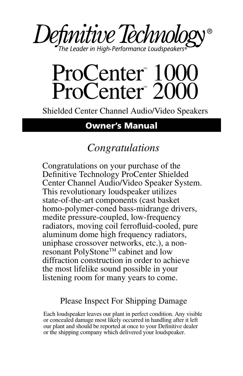

# ProCenter 1000 ProCenter 2000

Shielded Center Channel Audio/Video Speakers

# **Owner's Manual**

# *Congratulations*

Congratulations on your purchase of the Definitive Technology ProCenter Shielded Center Channel Audio/Video Speaker System. This revolutionary loudspeaker utilizes state-of-the-art components (cast basket homo-polymer-coned bass-midrange drivers, medite pressure-coupled, low-frequency radiators, moving coil ferrofluid-cooled, pure aluminum dome high frequency radiators, uniphase crossover networks, etc.), a nonresonant PolyStone™ cabinet and low diffraction construction in order to achieve the most lifelike sound possible in your listening room for many years to come.

#### Please Inspect For Shipping Damage

Each loudspeaker leaves our plant in perfect condition. Any visible or concealed damage most likely occurred in handling after it left our plant and should be reported at once to your Definitive dealer or the shipping company which delivered your loudspeaker.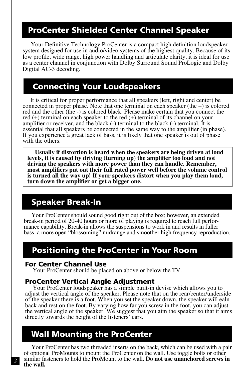#### **ProCenter Shielded Center Channel Speaker**

Your Definitive Technology ProCenter is a compact high definition loudspeaker system designed for use in audio/video systems of the highest quality. Because of its low profile, wide range, high power handling and articulate clarity, it is ideal for use as a center channel in conjunction with Dolby Surround Sound ProLogic and Dolby Digital AC-3 decoding.

#### **Connecting Your Loudspeakers**

It is critical for proper performance that all speakers (left, right and center) be connected in proper phase. Note that one terminal on each speaker (the +) is colored red and the other (the -) is colored black. Please make certain that you connect the red (+) terminal on each speaker to the red (+) terminal of its channel on your amplifier or receiver, and the black (-) terminal to the black (-) terminal. It is essential that all speakers be connected in the same way to the amplifier (in phase). If you experience a great lack of bass, it is likely that one speaker is out of phase with the others.

**Usually if distortion is heard when the speakers are being driven at loud levels, it is caused by driving (turning up) the amplifier too loud and not driving the speakers with more power than they can handle. Remember, most amplifiers put out their full rated power well before the volume control is turned all the way up! If your speakers distort when you play them loud, turn down the amplifier or get a bigger one.**

## **Speaker Break-In**

Your ProCenter should sound good right out of the box; however, an extended break-in period of 20-40 hours or more of playing is required to reach full performance capability. Break-in allows the suspensions to work in and results in fuller bass, a more open "blossoming" midrange and smoother high frequency reproduction.

## **Positioning the ProCenter in Your Room**

#### **For Center Channel Use**

Your ProCenter should be placed on above or below the TV.

#### **ProCenter Vertical Angle Adjustment**

Your ProCenter loudspeaker has a simple built-in devise which allows you to adjust the vertical angle of the speaker. Please note that on the rear/center/underside of the speaker there is a foot. When you set the speaker down, the speaker will ealn back and rest on the foot. By varying how far you screw in the foot, you can adjust the vertical angle of the speaker. We suggest that you aim the speaker so that it aims directly towards the height of the listeners' ears.

#### **Wall Mounting the ProCenter**

Your ProCenter has two threaded inserts on the back, which can be used with a pair of optional ProMounts to mount the ProCenter on the wall. Use toggle bolts or other similar fasteners to hold the ProMount to the wall. **Do not use unanchored screws in the wall.**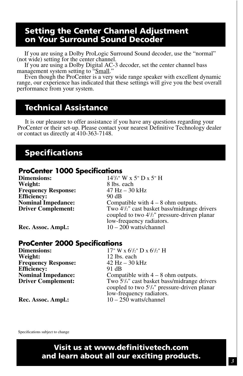#### **Setting the Center Channel Adjustment on Your Surround Sound Decoder**

If you are using a Dolby ProLogic Surround Sound decoder, use the "normal" (not wide) setting for the center channel.

If you are using a Dolby Digital AC-3 decoder, set the center channel bass management system setting to "Small."

Even though the ProCenter is a very wide range speaker with excellent dynamic range, our experience has indicated that these settings will give you the best overall performance from your system.

# **Technical Assistance**

It is our pleasure to offer assistance if you have any questions regarding your ProCenter or their set-up. Please contact your nearest Definitive Technology dealer or contact us directly at 410-363-7148.

#### **Specifications**

#### **ProCenter 1000 Specifications**

**Dimensions: Weight:** 8 lbs. each<br> **Frequency Response:** 47 Hz – 30 kHz **Frequency Response: Efficiency:** 90 dB **Driver Complement:** 

14<sup>3</sup>/<sub>4</sub>" W x 5" D x 5" H **Nominal Impedance:** Compatible with  $4 - 8$  ohm outputs. Two 4<sup>1</sup>/<sub>2</sub>" cast basket bass/midrange drivers coupled to two 41 /2" pressure-driven planar low-frequency radiators.<br>10 – 200 watts/channel

**Rec. Assoc. Ampl.:** 

#### **ProCenter 2000 Specifications**

**Dimensions:**<br>Weight: **Frequency Response: Efficiency:** 91 dB<br>**Nominal Impedance:** Comp. **Driver Complement:** 

/2" D x 6<sup>1</sup>/2" H 12 lbs. each<br>42 Hz – 30 kHz Compatible with  $4 - 8$  ohm outputs. Two  $5\frac{1}{4}$ " cast basket bass/midrange drivers coupled to two 51 /4" pressure-driven planar low-frequency radiators.

**Rec. Assoc. Ampl.:** 10 – 250 watts/channel

Specifications subject to change

**Visit us at www.definitivetech.com and learn about all our exciting products.**